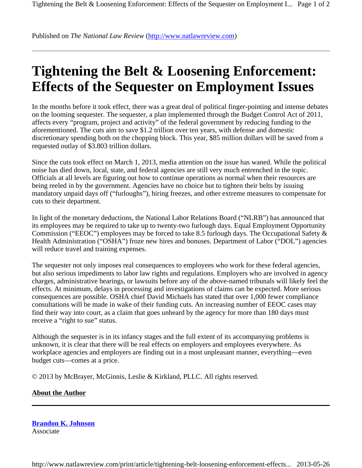Published on *The National Law Review* (http://www.natlawreview.com)

## **Tightening the Belt & Loosening Enforcement: Effects of the Sequester on Employment Issues**

In the months before it took effect, there was a great deal of political finger-pointing and intense debates on the looming sequester. The sequester, a plan implemented through the Budget Control Act of 2011, affects every "program, project and activity" of the federal government by reducing funding to the aforementioned. The cuts aim to save \$1.2 trillion over ten years, with defense and domestic discretionary spending both on the chopping block. This year, \$85 million dollars will be saved from a requested outlay of \$3.803 trillion dollars.

Since the cuts took effect on March 1, 2013, media attention on the issue has waned. While the political noise has died down, local, state, and federal agencies are still very much entrenched in the topic. Officials at all levels are figuring out how to continue operations as normal when their resources are being reeled in by the government. Agencies have no choice but to tighten their belts by issuing mandatory unpaid days off ("furloughs"), hiring freezes, and other extreme measures to compensate for cuts to their department.

In light of the monetary deductions, the National Labor Relations Board ("NLRB") has announced that its employees may be required to take up to twenty-two furlough days. Equal Employment Opportunity Commission ("EEOC") employees may be forced to take 8.5 furlough days. The Occupational Safety & Health Administration ("OSHA") froze new hires and bonuses. Department of Labor ("DOL") agencies will reduce travel and training expenses.

The sequester not only imposes real consequences to employees who work for these federal agencies, but also serious impediments to labor law rights and regulations. Employers who are involved in agency charges, administrative hearings, or lawsuits before any of the above-named tribunals will likely feel the effects. At minimum, delays in processing and investigations of claims can be expected. More serious consequences are possible. OSHA chief David Michaels has stated that over 1,000 fewer compliance consultations will be made in wake of their funding cuts. An increasing number of EEOC cases may find their way into court, as a claim that goes unheard by the agency for more than 180 days must receive a "right to sue" status.

Although the sequester is in its infancy stages and the full extent of its accompanying problems is unknown, it is clear that there will be real effects on employers and employees everywhere. As workplace agencies and employers are finding out in a most unpleasant manner, everything—even budget cuts—comes at a price.

© 2013 by McBrayer, McGinnis, Leslie & Kirkland, PLLC. All rights reserved.

## **About the Author**

**Brandon K. Johnson** Associate

http://www.natlawreview.com/print/article/tightening-belt-loosening-enforcement-effects... 2013-05-26